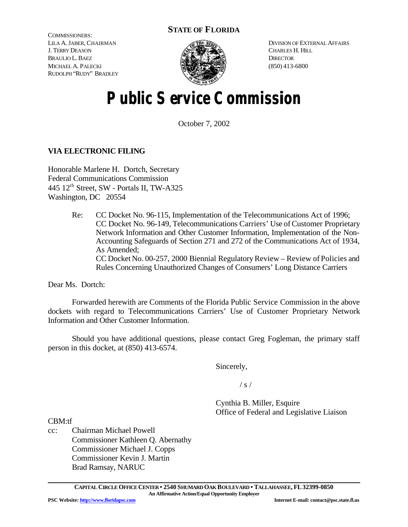## **STATE OF FLORIDA**

COMMISSIONERS: LILA A. JABER, CHAIRMAN J. TERRY DEASON BRAULIO L. BAEZ MICHAEL A. PALECKI RUDOLPH "RUDY" BRADLEY



DIVISION OF EXTERNAL AFFAIRS CHARLES H. HILL **DIRECTOR** (850) 413-6800

# **Public Service Commission**

October 7, 2002

### **VIA ELECTRONIC FILING**

Honorable Marlene H. Dortch, Secretary Federal Communications Commission 445 12th Street, SW - Portals II, TW-A325 Washington, DC 20554

> Re: CC Docket No. 96-115, Implementation of the Telecommunications Act of 1996; CC Docket No. 96-149, Telecommunications Carriers' Use of Customer Proprietary Network Information and Other Customer Information, Implementation of the Non-Accounting Safeguards of Section 271 and 272 of the Communications Act of 1934, As Amended; CC Docket No. 00-257, 2000 Biennial Regulatory Review – Review of Policies and Rules Concerning Unauthorized Changes of Consumers' Long Distance Carriers

Dear Ms. Dortch:

Forwarded herewith are Comments of the Florida Public Service Commission in the above dockets with regard to Telecommunications Carriers' Use of Customer Proprietary Network Information and Other Customer Information.

Should you have additional questions, please contact Greg Fogleman, the primary staff person in this docket, at (850) 413-6574.

Sincerely,

 $/ s /$ 

Cynthia B. Miller, Esquire Office of Federal and Legislative Liaison

CBM:tf

cc: Chairman Michael Powell Commissioner Kathleen Q. Abernathy Commissioner Michael J. Copps Commissioner Kevin J. Martin Brad Ramsay, NARUC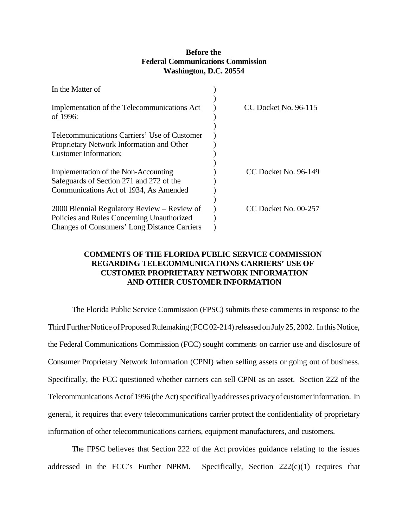#### **Before the Federal Communications Commission Washington, D.C. 20554**

| In the Matter of                                            |                      |
|-------------------------------------------------------------|----------------------|
| Implementation of the Telecommunications Act<br>of $1996$ : | CC Docket No. 96-115 |
| Telecommunications Carriers' Use of Customer                |                      |
| Proprietary Network Information and Other                   |                      |
| <b>Customer Information;</b>                                |                      |
|                                                             |                      |
| Implementation of the Non-Accounting                        | CC Docket No. 96-149 |
| Safeguards of Section 271 and 272 of the                    |                      |
| Communications Act of 1934, As Amended                      |                      |
|                                                             |                      |
| 2000 Biennial Regulatory Review – Review of                 | CC Docket No. 00-257 |
| Policies and Rules Concerning Unauthorized                  |                      |
| <b>Changes of Consumers' Long Distance Carriers</b>         |                      |

### **COMMENTS OF THE FLORIDA PUBLIC SERVICE COMMISSION REGARDING TELECOMMUNICATIONS CARRIERS' USE OF CUSTOMER PROPRIETARY NETWORK INFORMATION AND OTHER CUSTOMER INFORMATION**

The Florida Public Service Commission (FPSC) submits these comments in response to the Third Further Notice of Proposed Rulemaking (FCC 02-214) released on July 25, 2002. In this Notice, the Federal Communications Commission (FCC) sought comments on carrier use and disclosure of Consumer Proprietary Network Information (CPNI) when selling assets or going out of business. Specifically, the FCC questioned whether carriers can sell CPNI as an asset. Section 222 of the Telecommunications Actof 1996 (the Act) specifically addresses privacy of customer information. In general, it requires that every telecommunications carrier protect the confidentiality of proprietary information of other telecommunications carriers, equipment manufacturers, and customers.

The FPSC believes that Section 222 of the Act provides guidance relating to the issues addressed in the FCC's Further NPRM. Specifically, Section  $222(c)(1)$  requires that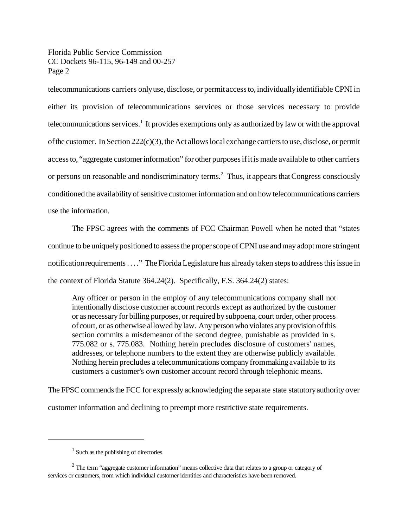Florida Public Service Commission CC Dockets 96-115, 96-149 and 00-257 Page 2

telecommunications carriers onlyuse, disclose, or permitaccessto, individuallyidentifiable CPNI in either its provision of telecommunications services or those services necessary to provide telecommunications services.<sup>1</sup> It provides exemptions only as authorized by law or with the approval ofthe customer. In Section 222(c)(3), the Act allows local exchange carriers to use, disclose, or permit accessto, "aggregate customerinformation" for other purposesifitis made available to other carriers or persons on reasonable and nondiscriminatory terms.<sup>2</sup> Thus, it appears that Congress consciously conditioned the availability of sensitive customer information and on how telecommunications carriers use the information.

The FPSC agrees with the comments of FCC Chairman Powell when he noted that "states continue to be uniquelypositioned to assess the proper scope of CPNI use and may adopt more stringent notificationrequirements. . . ." The Florida Legislature has already taken steps to address this issue in the context of Florida Statute 364.24(2). Specifically, F.S. 364.24(2) states:

Any officer or person in the employ of any telecommunications company shall not intentionally disclose customer account records except as authorized by the customer or as necessary for billing purposes, or required by subpoena, court order, other process ofcourt, or as otherwise allowed by law. Any person who violates any provision of this section commits a misdemeanor of the second degree, punishable as provided in s. 775.082 or s. 775.083. Nothing herein precludes disclosure of customers' names, addresses, or telephone numbers to the extent they are otherwise publicly available. Nothing herein precludes a telecommunications company frommaking available to its customers a customer's own customer account record through telephonic means.

The FPSC commends the FCC for expressly acknowledging the separate state statutory authority over customer information and declining to preempt more restrictive state requirements.

<sup>&</sup>lt;sup>1</sup> Such as the publishing of directories.

 $2$  The term "aggregate customer information" means collective data that relates to a group or category of services or customers, from which individual customer identities and characteristics have been removed.